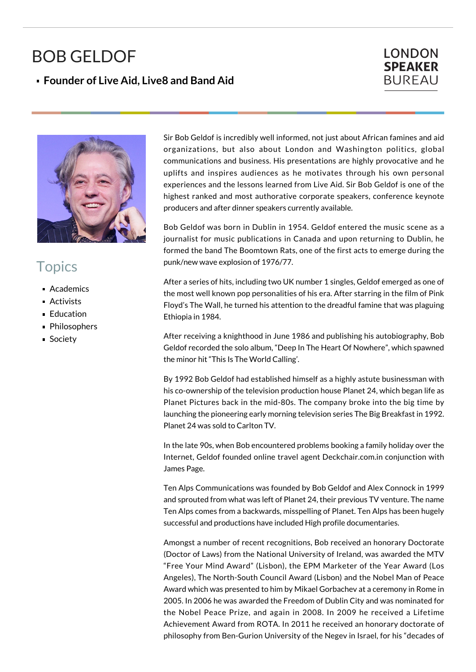## BOB GELDOF

## **Founder of Live Aid, Live8 and Band Aid**

## **LONDON SPEAKER BUREAU**



## **Topics**

- **Academics**
- Activists
- **Education**
- Philosophers
- Society

Sir Bob Geldof is incredibly well informed, not just about African famines and aid organizations, but also about London and Washington politics, global communications and business. His presentations are highly provocative and he uplifts and inspires audiences as he motivates through his own personal experiences and the lessons learned from Live Aid. Sir Bob Geldof is one of the highest ranked and most authorative corporate speakers, conference keynote producers and after dinner speakers currently available.

Bob Geldof was born in Dublin in 1954. Geldof entered the music scene as a journalist for music publications in Canada and upon returning to Dublin, he formed the band The Boomtown Rats, one of the first acts to emerge during the punk/new wave explosion of 1976/77.

After a series of hits, including two UK number 1 singles, Geldof emerged as one of the most well known pop personalities of his era. After starring in the film of Pink Floyd's The Wall, he turned his attention to the dreadful famine that was plaguing Ethiopia in 1984.

After receiving a knighthood in June 1986 and publishing his autobiography, Bob Geldof recorded the solo album, "Deep In The Heart Of Nowhere", which spawned the minor hit "This Is The World Calling'.

By 1992 Bob Geldof had established himself as a highly astute businessman with his co-ownership of the television production house Planet 24, which began life as Planet Pictures back in the mid-80s. The company broke into the big time by launching the pioneering early morning television series The Big Breakfast in 1992. Planet 24 was sold to Carlton TV.

In the late 90s, when Bob encountered problems booking a family holiday over the Internet, Geldof founded online travel agent Deckchair.com.in conjunction with James Page.

Ten Alps Communications was founded by Bob Geldof and Alex Connock in 1999 and sprouted from what was left of Planet 24, their previous TV venture. The name Ten Alps comes from a backwards, misspelling of Planet. Ten Alps has been hugely successful and productions have included High profile documentaries.

Amongst a number of recent recognitions, Bob received an honorary Doctorate (Doctor of Laws) from the National University of Ireland, was awarded the MTV "Free Your Mind Award" (Lisbon), the EPM Marketer of the Year Award (Los Angeles), The North-South Council Award (Lisbon) and the Nobel Man of Peace Award which was presented to him by Mikael Gorbachev at a ceremony in Rome in 2005. In 2006 he was awarded the Freedom of Dublin City and was nominated for the Nobel Peace Prize, and again in 2008. In 2009 he received a Lifetime Achievement Award from ROTA. In 2011 he received an honorary doctorate of philosophy from Ben-Gurion University of the Negev in Israel, for his "decades of